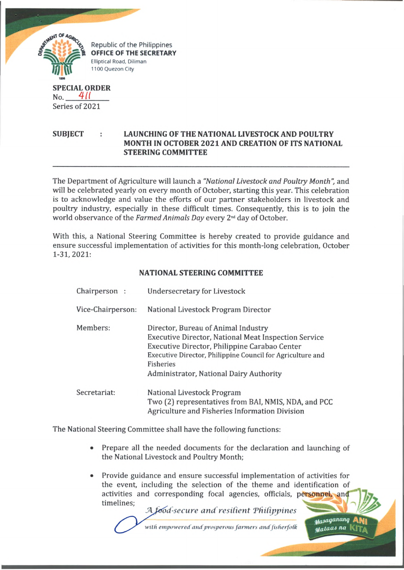

**SUBJECT : LAUNCHING OF THE NATIONAL LIVESTOCK AND POULTRY MONTH IN OCTOBER 2021 AND CREATION OF ITS NATIONAL STEERING COMMITTEE**

The Department of Agriculture will launch a *"National Livestock and Poultry Month",* and will be celebrated yearly on every month of October, starting this year. This celebration is to acknowledge and value the efforts of our partner stakeholders in livestock and poultry industry, especially in these difficult times. Consequently, this is to join the world observance of the *Farmed Animals Day* every 2nd day of October.

With this, a National Steering Committee is hereby created to provide guidance and ensure successful implementation of activities for this month-long celebration, October 1-31,2021:

## **NATIONAL STEERING COMMITTEE**

| Chairperson:      | Undersecretary for Livestock                                                                                                                                                                                                                                              |
|-------------------|---------------------------------------------------------------------------------------------------------------------------------------------------------------------------------------------------------------------------------------------------------------------------|
| Vice-Chairperson: | National Livestock Program Director                                                                                                                                                                                                                                       |
| Members:          | Director, Bureau of Animal Industry<br><b>Executive Director, National Meat Inspection Service</b><br>Executive Director, Philippine Carabao Center<br>Executive Director, Philippine Council for Agriculture and<br>Fisheries<br>Administrator, National Dairy Authority |
| Secretariat:      | National Livestock Program<br>Two (2) representatives from BAI, NMIS, NDA, and PCC<br>Agriculture and Fisheries Information Division                                                                                                                                      |

The National Steering Committee shall have the following functions:

- Prepare all the needed documents for the declaration and launching of the National Livestock and Poultry Month;
- Provide guidance and ensure successful implementation of activities for the event, including the selection of the theme and identification of activities and corresponding focal agencies, officials, personnel, and timelines;

*tf(0 a9anan9* ANl *nataas* **na** 

*iod-secure and resilient Thilippines* with empowered and prosperous farmers and fisherfolk